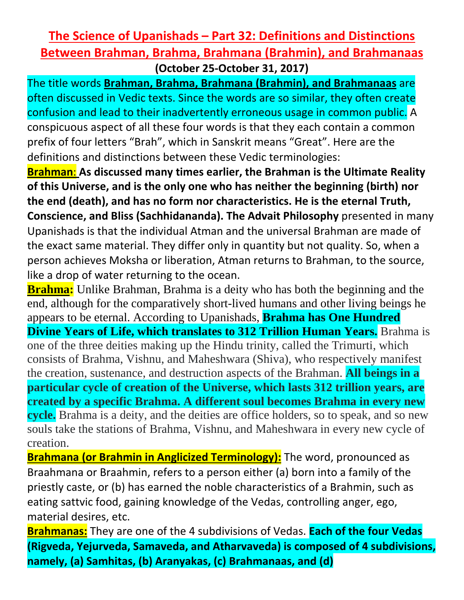## **The Science of Upanishads – Part 32: Definitions and Distinctions Between Brahman, Brahma, Brahmana (Brahmin), and Brahmanaas (October 25-October 31, 2017)**

The title words **Brahman, Brahma, Brahmana (Brahmin), and Brahmanaas** are often discussed in Vedic texts. Since the words are so similar, they often create confusion and lead to their inadvertently erroneous usage in common public. A conspicuous aspect of all these four words is that they each contain a common prefix of four letters "Brah", which in Sanskrit means "Great". Here are the definitions and distinctions between these Vedic terminologies:

**Brahman**: **As discussed many times earlier, the Brahman is the Ultimate Reality of this Universe, and is the only one who has neither the beginning (birth) nor the end (death), and has no form nor characteristics. He is the eternal Truth, Conscience, and Bliss (Sachhidananda). The Advait Philosophy** presented in many Upanishads is that the individual Atman and the universal Brahman are made of the exact same material. They differ only in quantity but not quality. So, when a person achieves Moksha or liberation, Atman returns to Brahman, to the source, like a drop of water returning to the ocean.

**Brahma:** Unlike Brahman, Brahma is a deity who has both the beginning and the end, although for the comparatively short-lived humans and other living beings he appears to be eternal. According to Upanishads, **Brahma has One Hundred Divine Years of Life, which translates to 312 Trillion Human Years.** Brahma is one of the three deities making up the Hindu trinity, called the Trimurti, which consists of Brahma, Vishnu, and Maheshwara (Shiva), who respectively manifest the creation, sustenance, and destruction aspects of the Brahman. **All beings in a particular cycle of creation of the Universe, which lasts 312 trillion years, are created by a specific Brahma. A different soul becomes Brahma in every new cycle.** Brahma is a deity, and the deities are office holders, so to speak, and so new souls take the stations of Brahma, Vishnu, and Maheshwara in every new cycle of creation.

**Brahmana (or Brahmin in Anglicized Terminology):** The word, pronounced as Braahmana or Braahmin, refers to a person either (a) born into a family of the priestly caste, or (b) has earned the noble characteristics of a Brahmin, such as eating sattvic food, gaining knowledge of the Vedas, controlling anger, ego, material desires, etc.

**Brahmanas:** They are one of the 4 subdivisions of Vedas. **Each of the four Vedas (Rigveda, Yejurveda, Samaveda, and Atharvaveda) is composed of 4 subdivisions, namely, (a) Samhitas, (b) Aranyakas, (c) Brahmanaas, and (d)**